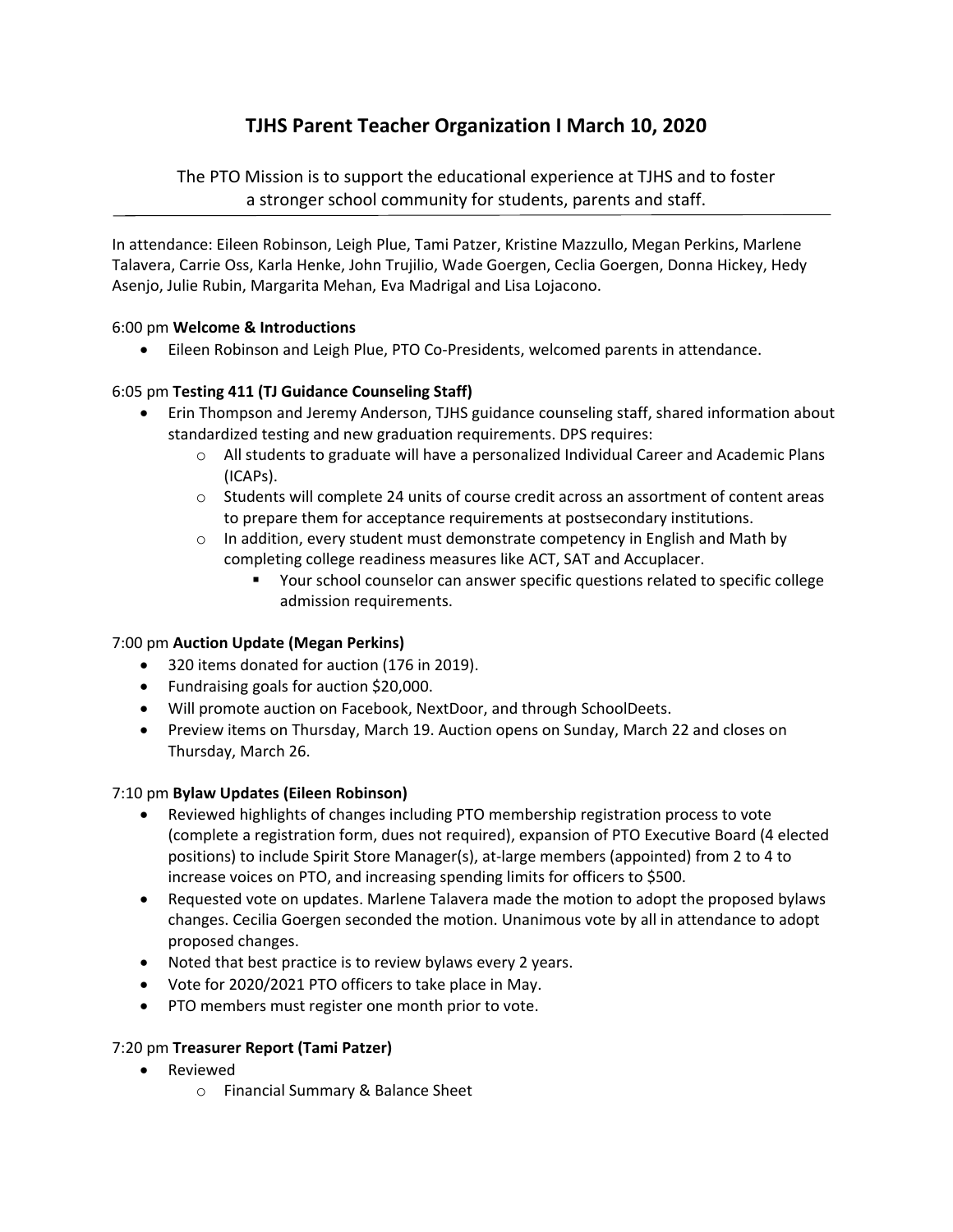# **TJHS Parent Teacher Organization I March 10, 2020**

The PTO Mission is to support the educational experience at TJHS and to foster a stronger school community for students, parents and staff.

In attendance: Eileen Robinson, Leigh Plue, Tami Patzer, Kristine Mazzullo, Megan Perkins, Marlene Talavera, Carrie Oss, Karla Henke, John Trujilio, Wade Goergen, Ceclia Goergen, Donna Hickey, Hedy Asenjo, Julie Rubin, Margarita Mehan, Eva Madrigal and Lisa Lojacono.

## 6:00 pm **Welcome & Introductions**

● Eileen Robinson and Leigh Plue, PTO Co-Presidents, welcomed parents in attendance.

## 6:05 pm **Testing 411 (TJ Guidance Counseling Staff)**

- Erin Thompson and Jeremy Anderson, TJHS guidance counseling staff, shared information about standardized testing and new graduation requirements. DPS requires:
	- $\circ$  All students to graduate will have a personalized Individual Career and Academic Plans (ICAPs).
	- $\circ$  Students will complete 24 units of course credit across an assortment of content areas to prepare them for acceptance requirements at postsecondary institutions.
	- $\circ$  In addition, every student must demonstrate competency in English and Math by completing college readiness measures like ACT, SAT and Accuplacer.
		- Your school counselor can answer specific questions related to specific college admission requirements.

#### 7:00 pm **Auction Update (Megan Perkins)**

- 320 items donated for auction (176 in 2019).
- Fundraising goals for auction \$20,000.
- Will promote auction on Facebook, NextDoor, and through SchoolDeets.
- Preview items on Thursday, March 19. Auction opens on Sunday, March 22 and closes on Thursday, March 26.

#### 7:10 pm **Bylaw Updates (Eileen Robinson)**

- Reviewed highlights of changes including PTO membership registration process to vote (complete a registration form, dues not required), expansion of PTO Executive Board (4 elected positions) to include Spirit Store Manager(s), at‐large members (appointed) from 2 to 4 to increase voices on PTO, and increasing spending limits for officers to \$500.
- Requested vote on updates. Marlene Talavera made the motion to adopt the proposed bylaws changes. Cecilia Goergen seconded the motion. Unanimous vote by all in attendance to adopt proposed changes.
- Noted that best practice is to review bylaws every 2 years.
- Vote for 2020/2021 PTO officers to take place in May.
- PTO members must register one month prior to vote.

#### 7:20 pm **Treasurer Report (Tami Patzer)**

- Reviewed
	- o Financial Summary & Balance Sheet